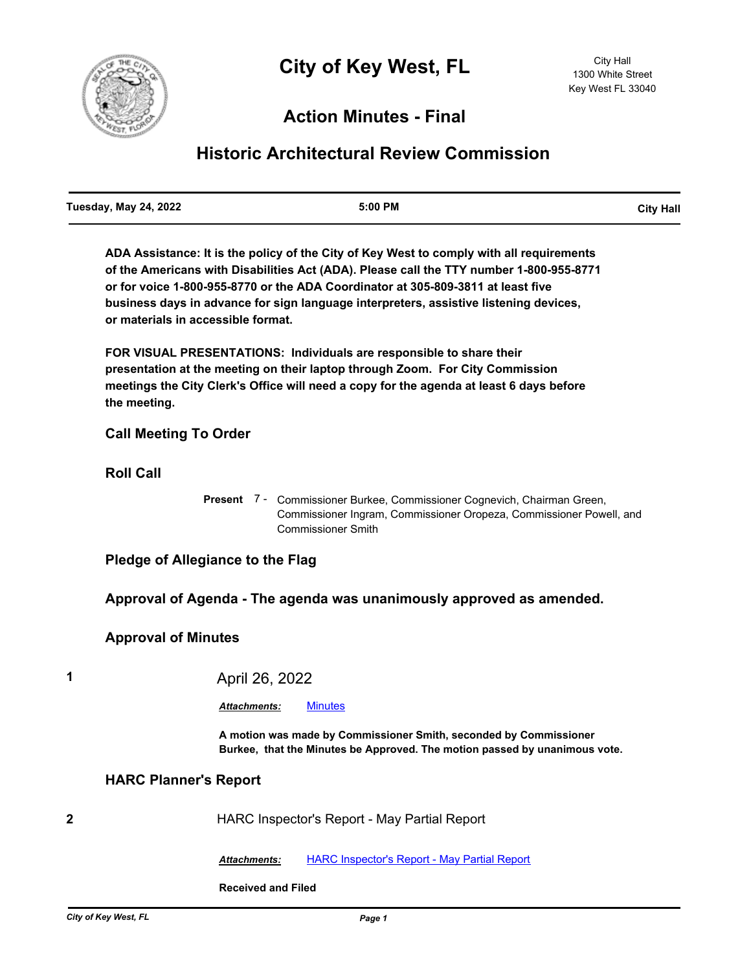

## **Action Minutes - Final**

# **Historic Architectural Review Commission**

**ADA Assistance: It is the policy of the City of Key West to comply with all requirements of the Americans with Disabilities Act (ADA). Please call the TTY number 1-800-955-8771 or for voice 1-800-955-8770 or the ADA Coordinator at 305-809-3811 at least five business days in advance for sign language interpreters, assistive listening devices, or materials in accessible format.**

**FOR VISUAL PRESENTATIONS: Individuals are responsible to share their presentation at the meeting on their laptop through Zoom. For City Commission meetings the City Clerk's Office will need a copy for the agenda at least 6 days before the meeting.**

## **Call Meeting To Order**

**Roll Call**

Present 7 - Commissioner Burkee, Commissioner Cognevich, Chairman Green, Commissioner Ingram, Commissioner Oropeza, Commissioner Powell, and Commissioner Smith

**Pledge of Allegiance to the Flag**

**Approval of Agenda - The agenda was unanimously approved as amended.**

## **Approval of Minutes**

**1** April 26, 2022

*Attachments:* [Minutes](http://KeyWest.legistar.com/gateway.aspx?M=F&ID=76cebe32-27ec-4bd8-8c7e-d8e5ebbeb429.pdf)

**A motion was made by Commissioner Smith, seconded by Commissioner Burkee, that the Minutes be Approved. The motion passed by unanimous vote.**

#### **HARC Planner's Report**

**2** HARC Inspector's Report - May Partial Report

*Attachments:* [HARC Inspector's Report - May Partial Report](http://KeyWest.legistar.com/gateway.aspx?M=F&ID=94531e0c-b05e-4830-b1d3-15afd98dde38.pdf)

**Received and Filed**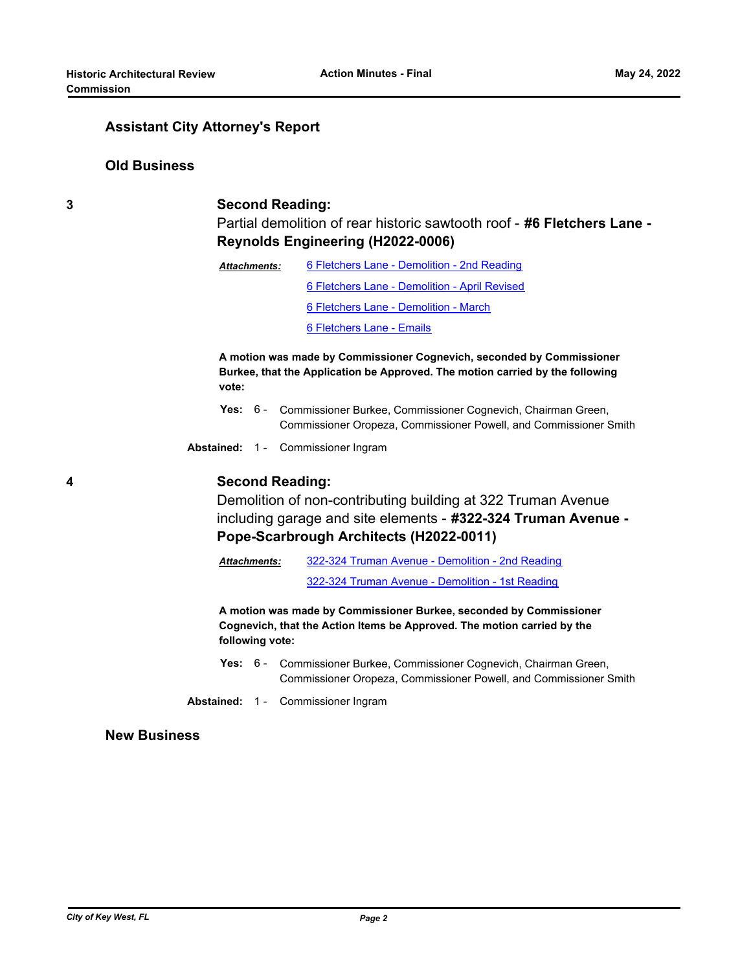#### **Assistant City Attorney's Report**

#### **Old Business**

#### **3 Second Reading:**

Partial demolition of rear historic sawtooth roof - **#6 Fletchers Lane - Reynolds Engineering (H2022-0006)**

| Attachments: | 6 Fletchers Lane - Demolition - 2nd Reading   |  |  |
|--------------|-----------------------------------------------|--|--|
|              | 6 Fletchers Lane - Demolition - April Revised |  |  |
|              | 6 Fletchers Lane - Demolition - March         |  |  |
|              | 6 Fletchers Lane - Emails                     |  |  |

**A motion was made by Commissioner Cognevich, seconded by Commissioner Burkee, that the Application be Approved. The motion carried by the following vote:**

- Yes: 6 Commissioner Burkee, Commissioner Cognevich, Chairman Green, Commissioner Oropeza, Commissioner Powell, and Commissioner Smith
- **Abstained:** 1 Commissioner Ingram

### **4 Second Reading:**

Demolition of non-contributing building at 322 Truman Avenue including garage and site elements - **#322-324 Truman Avenue - Pope-Scarbrough Architects (H2022-0011)**

[322-324 Truman Avenue - Demolition - 2nd Reading](http://KeyWest.legistar.com/gateway.aspx?M=F&ID=a6cab6f8-028a-413d-afcc-7dbe57059d37.pdf) *Attachments:*

[322-324 Truman Avenue - Demolition - 1st Reading](http://KeyWest.legistar.com/gateway.aspx?M=F&ID=7d36576a-b347-44ad-9bc2-21b474c10717.pdf)

**A motion was made by Commissioner Burkee, seconded by Commissioner Cognevich, that the Action Items be Approved. The motion carried by the following vote:**

Yes: 6 - Commissioner Burkee, Commissioner Cognevich, Chairman Green, Commissioner Oropeza, Commissioner Powell, and Commissioner Smith

**Abstained:** 1 - Commissioner Ingram

### **New Business**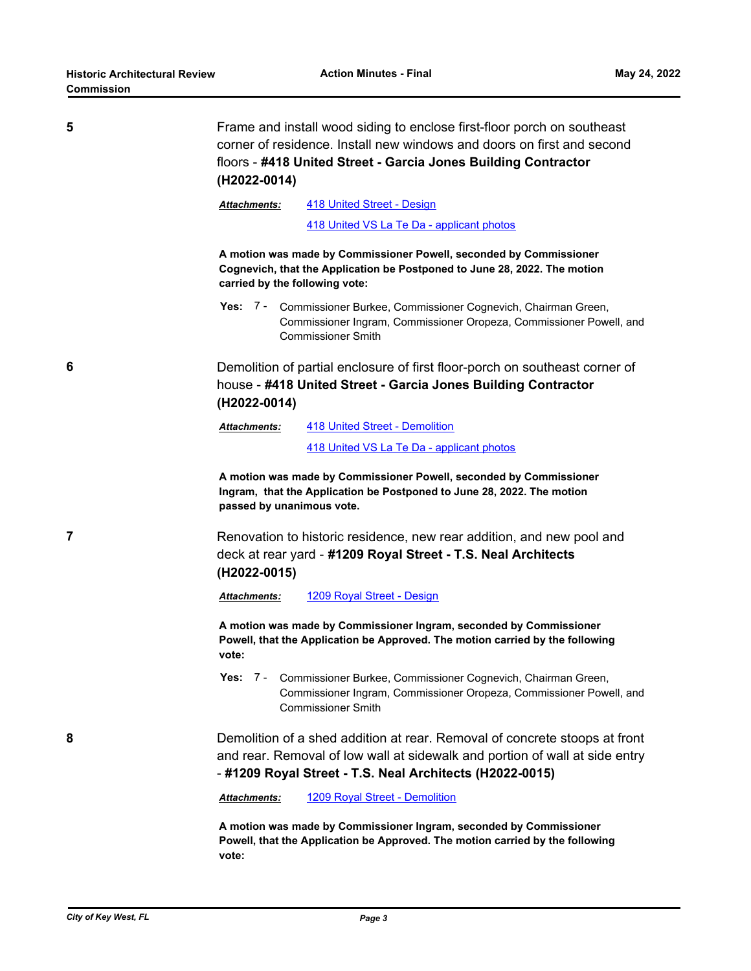| 5 | Frame and install wood siding to enclose first-floor porch on southeast<br>corner of residence. Install new windows and doors on first and second                                 |                                                                                                                                                                                                                      |  |  |  |
|---|-----------------------------------------------------------------------------------------------------------------------------------------------------------------------------------|----------------------------------------------------------------------------------------------------------------------------------------------------------------------------------------------------------------------|--|--|--|
|   | floors - #418 United Street - Garcia Jones Building Contractor                                                                                                                    |                                                                                                                                                                                                                      |  |  |  |
|   | (H2022-0014)                                                                                                                                                                      |                                                                                                                                                                                                                      |  |  |  |
|   | Attachments:                                                                                                                                                                      | 418 United Street - Design                                                                                                                                                                                           |  |  |  |
|   |                                                                                                                                                                                   | 418 United VS La Te Da - applicant photos                                                                                                                                                                            |  |  |  |
|   | A motion was made by Commissioner Powell, seconded by Commissioner<br>Cognevich, that the Application be Postponed to June 28, 2022. The motion<br>carried by the following vote: |                                                                                                                                                                                                                      |  |  |  |
|   |                                                                                                                                                                                   | Yes: 7 - Commissioner Burkee, Commissioner Cognevich, Chairman Green,<br>Commissioner Ingram, Commissioner Oropeza, Commissioner Powell, and<br><b>Commissioner Smith</b>                                            |  |  |  |
| 6 | Demolition of partial enclosure of first floor-porch on southeast corner of<br>house - #418 United Street - Garcia Jones Building Contractor<br>(H2022-0014)                      |                                                                                                                                                                                                                      |  |  |  |
|   | <b>Attachments:</b>                                                                                                                                                               | 418 United Street - Demolition                                                                                                                                                                                       |  |  |  |
|   |                                                                                                                                                                                   | 418 United VS La Te Da - applicant photos                                                                                                                                                                            |  |  |  |
|   | passed by unanimous vote.                                                                                                                                                         | A motion was made by Commissioner Powell, seconded by Commissioner<br>Ingram, that the Application be Postponed to June 28, 2022. The motion                                                                         |  |  |  |
| 7 | Renovation to historic residence, new rear addition, and new pool and<br>deck at rear yard - #1209 Royal Street - T.S. Neal Architects<br>(H2022-0015)                            |                                                                                                                                                                                                                      |  |  |  |
|   | <b>Attachments:</b>                                                                                                                                                               | 1209 Royal Street - Design                                                                                                                                                                                           |  |  |  |
|   | vote:                                                                                                                                                                             | A motion was made by Commissioner Ingram, seconded by Commissioner<br>Powell, that the Application be Approved. The motion carried by the following                                                                  |  |  |  |
|   |                                                                                                                                                                                   | Yes: 7 - Commissioner Burkee, Commissioner Cognevich, Chairman Green,<br>Commissioner Ingram, Commissioner Oropeza, Commissioner Powell, and<br><b>Commissioner Smith</b>                                            |  |  |  |
| 8 |                                                                                                                                                                                   | Demolition of a shed addition at rear. Removal of concrete stoops at front<br>and rear. Removal of low wall at sidewalk and portion of wall at side entry<br>-#1209 Royal Street - T.S. Neal Architects (H2022-0015) |  |  |  |
|   | <b>Attachments:</b>                                                                                                                                                               | 1209 Royal Street - Demolition                                                                                                                                                                                       |  |  |  |
|   | vote:                                                                                                                                                                             | A motion was made by Commissioner Ingram, seconded by Commissioner<br>Powell, that the Application be Approved. The motion carried by the following                                                                  |  |  |  |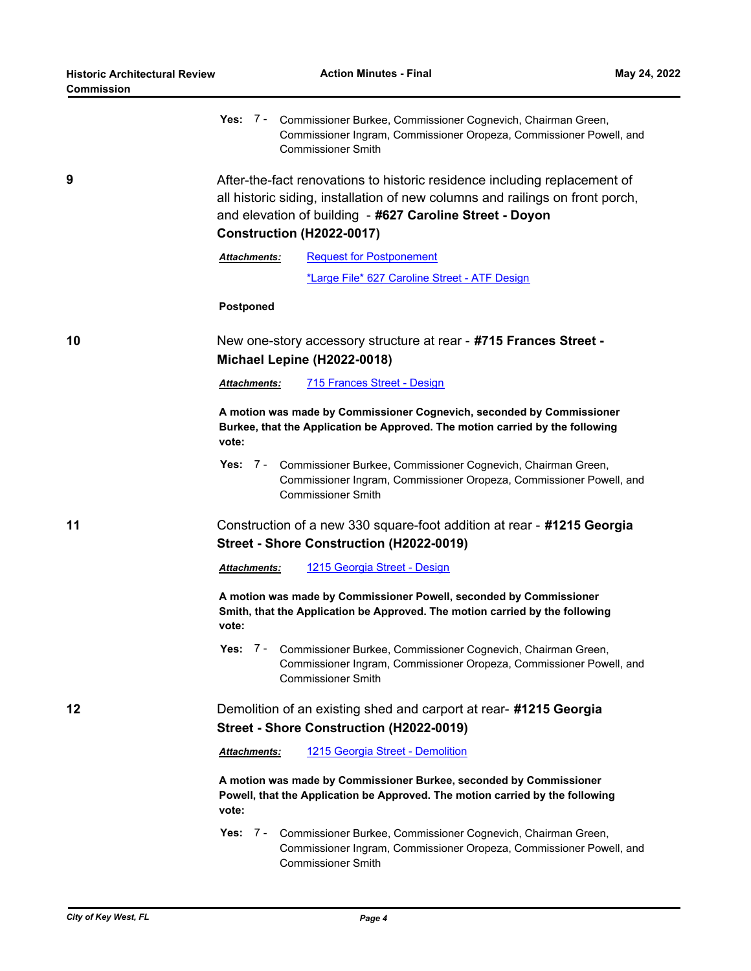| ∪ommission |                                                                                                                                                                                                                                                     |  |  |
|------------|-----------------------------------------------------------------------------------------------------------------------------------------------------------------------------------------------------------------------------------------------------|--|--|
|            | Yes: $7 -$<br>Commissioner Burkee, Commissioner Cognevich, Chairman Green,<br>Commissioner Ingram, Commissioner Oropeza, Commissioner Powell, and<br><b>Commissioner Smith</b>                                                                      |  |  |
| 9          | After-the-fact renovations to historic residence including replacement of<br>all historic siding, installation of new columns and railings on front porch,<br>and elevation of building - #627 Caroline Street - Doyon<br>Construction (H2022-0017) |  |  |
|            | <b>Request for Postponement</b><br><b>Attachments:</b>                                                                                                                                                                                              |  |  |
|            | *Large File* 627 Caroline Street - ATF Design                                                                                                                                                                                                       |  |  |
|            | Postponed                                                                                                                                                                                                                                           |  |  |
| 10         | New one-story accessory structure at rear - #715 Frances Street -<br>Michael Lepine (H2022-0018)                                                                                                                                                    |  |  |
|            | 715 Frances Street - Design<br><b>Attachments:</b>                                                                                                                                                                                                  |  |  |
|            | A motion was made by Commissioner Cognevich, seconded by Commissioner<br>Burkee, that the Application be Approved. The motion carried by the following<br>vote:                                                                                     |  |  |
|            | Yes: $7 -$<br>Commissioner Burkee, Commissioner Cognevich, Chairman Green,<br>Commissioner Ingram, Commissioner Oropeza, Commissioner Powell, and<br><b>Commissioner Smith</b>                                                                      |  |  |
| 11         | Construction of a new 330 square-foot addition at rear - #1215 Georgia<br>Street - Shore Construction (H2022-0019)                                                                                                                                  |  |  |
|            | 1215 Georgia Street - Design<br>Attachments:                                                                                                                                                                                                        |  |  |
|            | A motion was made by Commissioner Powell, seconded by Commissioner<br>Smith, that the Application be Approved. The motion carried by the following<br>vote:                                                                                         |  |  |
|            | Yes: 7 - Commissioner Burkee, Commissioner Cognevich, Chairman Green,<br>Commissioner Ingram, Commissioner Oropeza, Commissioner Powell, and<br><b>Commissioner Smith</b>                                                                           |  |  |
| 12         | Demolition of an existing shed and carport at rear- #1215 Georgia                                                                                                                                                                                   |  |  |
|            | Street - Shore Construction (H2022-0019)                                                                                                                                                                                                            |  |  |
|            | 1215 Georgia Street - Demolition<br><b>Attachments:</b>                                                                                                                                                                                             |  |  |
|            | A motion was made by Commissioner Burkee, seconded by Commissioner<br>Powell, that the Application be Approved. The motion carried by the following<br>vote:                                                                                        |  |  |
|            | Yes: $7 -$<br>Commissioner Burkee, Commissioner Cognevich, Chairman Green,<br>Commissioner Ingram, Commissioner Oropeza, Commissioner Powell, and<br><b>Commissioner Smith</b>                                                                      |  |  |